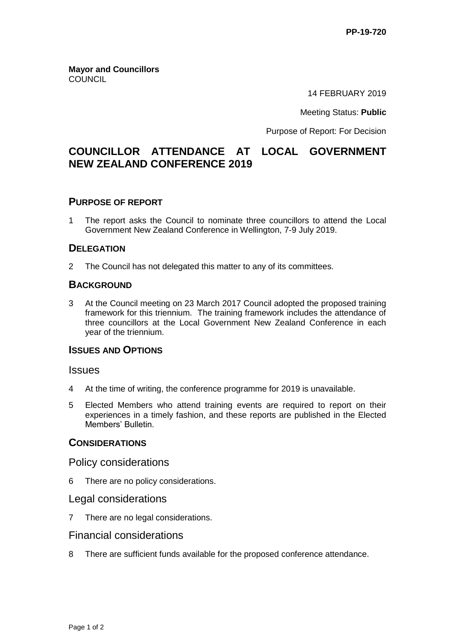**Mayor and Councillors COUNCIL** 

14 FEBRUARY 2019

Meeting Status: **Public**

Purpose of Report: For Decision

# **COUNCILLOR ATTENDANCE AT LOCAL GOVERNMENT NEW ZEALAND CONFERENCE 2019**

### **PURPOSE OF REPORT**

1 The report asks the Council to nominate three councillors to attend the Local Government New Zealand Conference in Wellington, 7-9 July 2019.

#### **DELEGATION**

2 The Council has not delegated this matter to any of its committees.

#### **BACKGROUND**

3 At the Council meeting on 23 March 2017 Council adopted the proposed training framework for this triennium. The training framework includes the attendance of three councillors at the Local Government New Zealand Conference in each year of the triennium.

### **ISSUES AND OPTIONS**

#### **Issues**

- 4 At the time of writing, the conference programme for 2019 is unavailable.
- 5 Elected Members who attend training events are required to report on their experiences in a timely fashion, and these reports are published in the Elected Members' Bulletin.

#### **CONSIDERATIONS**

#### Policy considerations

6 There are no policy considerations.

### Legal considerations

7 There are no legal considerations.

#### Financial considerations

8 There are sufficient funds available for the proposed conference attendance.